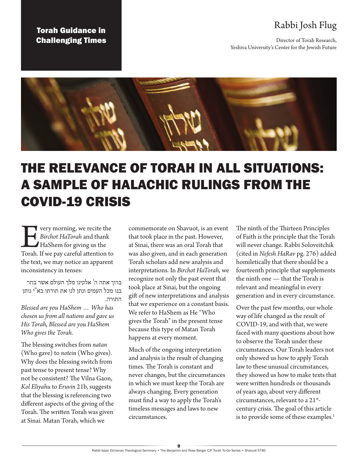## Torah Guidance in Challenging Times

# Rabbi Josh Flug

Director of Torah Research, Yeshiva University's Center for the Jewish Future



# THE RELEVANCE OF TORAH IN ALL SITUATIONS: A SAMPLE OF HALACHIC RULINGS FROM THE COVID-19 CRISIS

**Every morning, we recite the Birchot HaTorah and thank** HaShem for giving us the Torah. If we pay careful attention to *Birchot HaTorah* and thank HaShem for giving us the the text, we may notice an apparent inconsistency in tenses:

ברוך אתה ה' אלקינו מלך העולם אשר בחר בנו מכל העמים ונתן לנו את תורתו בא"י נותן התורה.

*Blessed are you HaShem … Who has chosen us from all nations and gave us His Torah, Blessed are you HaShem Who gives the Torah.*

The blessing switches from *natan* (Who gave) to *notein* (Who gives). Why does the blessing switch from past tense to present tense? Why not be consistent? The Vilna Gaon, *Kol Eliyahu* to *Eruvin* 21b, suggests that the blessing is referencing two different aspects of the giving of the Torah. The written Torah was given at Sinai. Matan Torah, which we

commemorate on Shavuot, is an event that took place in the past. However, at Sinai, there was an oral Torah that was also given, and in each generation Torah scholars add new analysis and interpretations. In *Birchot HaTorah*, we recognize not only the past event that took place at Sinai, but the ongoing gift of new interpretations and analysis that we experience on a constant basis. We refer to HaShem as He "Who gives the Torah" in the present tense because this type of Matan Torah happens at every moment.

Much of the ongoing interpretation and analysis is the result of changing times. The Torah is constant and never changes, but the circumstances in which we must keep the Torah are always changing. Every generation must find a way to apply the Torah's timeless messages and laws to new circumstances.

The ninth of the Thirteen Principles of Faith is the principle that the Torah will never change. Rabbi Soloveitchik (cited in *Nefesh HaRav* pg. 276) added homiletically that there should be a fourteenth principle that supplements the ninth one — that the Torah is relevant and meaningful in every generation and in every circumstance.

Over the past few months, our whole way of life changed as the result of COVID-19, and with that, we were faced with many questions about how to observe the Torah under these circumstances. Our Torah leaders not only showed us how to apply Torah law to these unusual circumstances, they showed us how to make texts that were written hundreds or thousands of years ago, about very different circumstances, relevant to a 21<sup>st</sup>century crisis. The goal of this article is to provide some of these examples.<sup>1</sup>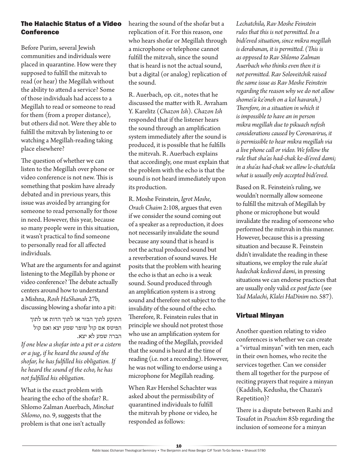### The Halachic Status of a Video **Conference**

Before Purim, several Jewish communities and individuals were placed in quarantine. How were they supposed to fulfill the mitzvah to read (or hear) the Megillah without the ability to attend a service? Some of those individuals had access to a Megillah to read or someone to read for them (from a proper distance), but others did not. Were they able to fulfill the mitzvah by listening to or watching a Megillah-reading taking place elsewhere?

The question of whether we can listen to the Megillah over phone or video conference is not new. This is something that poskim have already debated and in previous years, this issue was avoided by arranging for someone to read personally for those in need. However, this year, because so many people were in this situation, it wasn't practical to find someone to personally read for all affected individuals.

What are the arguments for and against listening to the Megillah by phone or video conference? The debate actually centers around how to understand a Mishna, *Rosh HaShanah* 27b, discussing blowing a shofar into a pit:

התוקע לתוך הבור או לתוך הדות או לתוך הפיטס אם קול שופר שמע יצא ואם קול הברה שמע לא יצא. *If one blew a shofar into a pit or a cistern or a jug, if he heard the sound of the shofar, he has fulfilled his obligation. If he heard the sound of the echo, he has not fulfilled his obligation.*

What is the exact problem with hearing the echo of the shofar? R. Shlomo Zalman Auerbach, *Minchat Shlomo*, no. 9, suggests that the problem is that one isn't actually

hearing the sound of the shofar but a replication of it. For this reason, one who hears shofar or Megillah through a microphone or telephone cannot fulfill the mitzvah, since the sound that is heard is not the actual sound, but a digital (or analog) replication of the sound.

R. Auerbach, op. cit., notes that he discussed the matter with R. Avraham Y. Karelitz (*Chazon Ish*). *Chazon Ish* responded that if the listener hears the sound through an amplification system immediately after the sound is produced, it is possible that he fulfills the mitzvah. R. Auerbach explains that accordingly, one must explain that the problem with the echo is that the sound is not heard immediately upon its production.

R. Moshe Feinstein, *Igrot Moshe*, *Orach Chaim* 2:108, argues that even if we consider the sound coming out of a speaker as a reproduction, it does not necessarily invalidate the sound because any sound that is heard is not the actual produced sound but a reverberation of sound waves. He posits that the problem with hearing the echo is that an echo is a weak sound. Sound produced through an amplification system is a strong sound and therefore not subject to the invalidity of the sound of the echo. Therefore, R. Feinstein rules that in principle we should not protest those who use an amplification system for the reading of the Megillah, provided that the sound is heard at the time of reading (i.e. not a recording). However, he was not willing to endorse using a microphone for Megillah reading.

When Rav Hershel Schachter was asked about the permissibility of quarantined individuals to fulfill the mitzvah by phone or video, he responded as follows:

*Lechatchila, Rav Moshe Feinstein rules that this is not permitted. In a bidi'eved situation, since mikra megillah is derabanan, it is permitted. (This is as opposed to Rav Shlomo Zalman Auerbach who thinks even then it is not permitted. Rav Soloveitchik raised the same issue as Rav Moshe Feinstein regarding the reason why we do not allow shomei'a ke'oneh on a kol havarah.) Therefore, in a situation in which it is impossible to have an in person mikra megillah due to pikuach nefesh considerations caused by Coronavirus, it is permissible to hear mikra megillah via a live phone call or video. We follow the rule that sha'as had-chak ke-di'eved dami; in a sha'as had-chak we allow le-chatchila what is usually only accepted bidi'eved.*

Based on R. Feinstein's ruling, we wouldn't normally allow someone to fulfill the mitzvah of Megillah by phone or microphone but would invalidate the reading of someone who performed the mitzvah in this manner. However, because this is a pressing situation and because R. Feinstein didn't invalidate the reading in these situations, we employ the rule *sha'at hadechak kedieved dami*, in pressing situations we can endorse practices that are usually only valid *ex post facto* (see *Yad Malachi*, *Klalei HaDinim* no. 587).

### Virtual Minyan

Another question relating to video conferences is whether we can create a "virtual minyan" with ten men, each in their own homes, who recite the services together. Can we consider them all together for the purpose of reciting prayers that require a minyan (Kaddish, Kedusha, the Chazan's Repetition)?

There is a dispute between Rashi and Tosafot in *Pesachim* 85b regarding the inclusion of someone for a minyan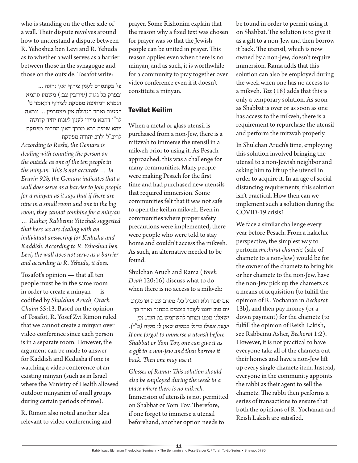who is standing on the other side of a wall. Their dispute revolves around how to understand a dispute between R. Yehoshua ben Levi and R. Yehuda as to whether a wall serves as a barrier between those in the synagogue and those on the outside. Tosafot write:

פי' בקונטרס לענין צירוף ואין נראה ... ובפרק כל גגות (עירובין צב:) משמע סתמא דגמרא דמחיצה מפסקת לצירוף דקאמר ט' בקטנה ואחד בגדולה אין מצטרפין ... ונראה לר"י דהכא מיירי לענין לענות יחיד קדושה ויהא שמיה רבא מברך דאין מחיצה מפסקת לריב"ל ולרב יהודה מפסקת

*According to Rashi, the Gemara is dealing with counting the person on the outside as one of the ten people in the minyan. This is not accurate … In Eruvin 92b, the Gemara indicates that a wall does serve as a barrier to join people for a minyan as it says that if there are nine in a small room and one in the big room, they cannot combine for a minyan … Rather, Rabbeinu Yitzchak suggested that here we are dealing with an individual answering for Kedusha and* 

*Kaddish. According to R. Yehoshua ben Levi, the wall does not serve as a barrier and according to R. Yehuda, it does.* Tosafot's opinion — that all ten

people must be in the same room in order to create a minyan — is codified by *Shulchan Aruch*, *Orach Chaim* 55:13. Based on the opinion of Tosafot, R. Yosef Zvi Rimon ruled that we cannot create a minyan over video conference since each person is in a separate room. However, the argument can be made to answer for Kaddish and Kedusha if one is watching a video conference of an existing minyan (such as in Israel where the Ministry of Health allowed outdoor minyanim of small groups during certain periods of time).

R. Rimon also noted another idea relevant to video conferencing and prayer. Some Rishonim explain that the reason why a fixed text was chosen for prayer was so that the Jewish people can be united in prayer. This reason applies even when there is no minyan, and as such, it is worthwhile for a community to pray together over video conference even if it doesn't constitute a minyan.

#### Tevilat Keilim

When a metal or glass utensil is purchased from a non-Jew, there is a mitzvah to immerse the utensil in a mikveh prior to using it. As Pesach approached, this was a challenge for many communities. Many people were making Pesach for the first time and had purchased new utensils that required immersion. Some communities felt that it was not safe to open the keilim mikveh. Even in communities where proper safety precautions were implemented, there were people who were told to stay home and couldn't access the mikveh. As such, an alternative needed to be found.

Shulchan Aruch and Rama (*Yoreh Deah* 120:16) discuss what to do when there is no access to a mikveh:

אם שכח ולא הטביל כלי מערב שבת או מערב יום טוב יתננו לעובד כוכבים במתנה ואחר כך

ישאלנו ממנו ומותר להשתמש בו: *הגה: וכן יעשה אפילו בחול במקום שאין לו מקוה )ב"י(. If one forgot to immerse a utensil before Shabbat or Yom Tov, one can give it as a gift to a non-Jew and then borrow it back. Then one may use it.* 

*Glosses of Rama: This solution should also be employed during the week in a place where there is no mikveh.* Immersion of utensils is not permitted on Shabbat or Yom Tov. Therefore, if one forgot to immerse a utensil beforehand, another option needs to

be found in order to permit using it on Shabbat. The solution is to give it as a gift to a non-Jew and then borrow it back. The utensil, which is now owned by a non-Jew, doesn't require immersion. Rama adds that this solution can also be employed during the week when one has no access to a mikveh. *Taz* (18) adds that this is only a temporary solution. As soon as Shabbat is over or as soon as one has access to the mikveh, there is a requirement to repurchase the utensil and perform the mitzvah properly.

In Shulchan Aruch's time, employing this solution involved bringing the utensil to a non-Jewish neighbor and asking him to lift up the utensil in order to acquire it. In an age of social distancing requirements, this solution isn't practical. How then can we implement such a solution during the COVID-19 crisis?

We face a similar challenge every year before Pesach. From a halachic perspective, the simplest way to perform *mechirat chametz* (sale of chametz to a non-Jew) would be for the owner of the chametz to bring his or her chametz to the non-Jew, have the non-Jew pick up the chametz as a means of acquisition (to fulfill the opinion of R. Yochanan in *Bechorot* 13b), and then pay money (or a down payment) for the chametz (to fulfill the opinion of Reish Lakish, see Rabbeinu Asher, *Bechorot* 1:2). However, it is not practical to have everyone take all of the chametz out their homes and have a non-Jew lift up every single chametz item. Instead, everyone in the community appoints the rabbi as their agent to sell the chametz. The rabbi then performs a series of transactions to ensure that both the opinions of R. Yochanan and Reish Lakish are satisfied.